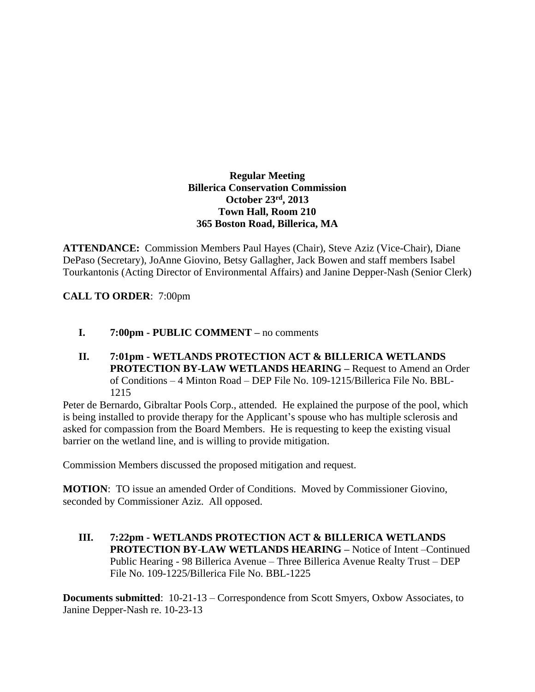## **Regular Meeting Billerica Conservation Commission October 23rd , 2013 Town Hall, Room 210 365 Boston Road, Billerica, MA**

**ATTENDANCE:** Commission Members Paul Hayes (Chair), Steve Aziz (Vice-Chair), Diane DePaso (Secretary), JoAnne Giovino, Betsy Gallagher, Jack Bowen and staff members Isabel Tourkantonis (Acting Director of Environmental Affairs) and Janine Depper-Nash (Senior Clerk)

**CALL TO ORDER**: 7:00pm

- **I. 7:00pm PUBLIC COMMENT –** no comments
- **II. 7:01pm WETLANDS PROTECTION ACT & BILLERICA WETLANDS PROTECTION BY-LAW WETLANDS HEARING –** Request to Amend an Order of Conditions – 4 Minton Road – DEP File No. 109-1215/Billerica File No. BBL-1215

Peter de Bernardo, Gibraltar Pools Corp., attended. He explained the purpose of the pool, which is being installed to provide therapy for the Applicant's spouse who has multiple sclerosis and asked for compassion from the Board Members. He is requesting to keep the existing visual barrier on the wetland line, and is willing to provide mitigation.

Commission Members discussed the proposed mitigation and request.

**MOTION**: TO issue an amended Order of Conditions. Moved by Commissioner Giovino, seconded by Commissioner Aziz. All opposed.

**III. 7:22pm - WETLANDS PROTECTION ACT & BILLERICA WETLANDS PROTECTION BY-LAW WETLANDS HEARING –** Notice of Intent –Continued Public Hearing - 98 Billerica Avenue – Three Billerica Avenue Realty Trust – DEP File No. 109-1225/Billerica File No. BBL-1225

**Documents submitted**: 10-21-13 – Correspondence from Scott Smyers, Oxbow Associates, to Janine Depper-Nash re. 10-23-13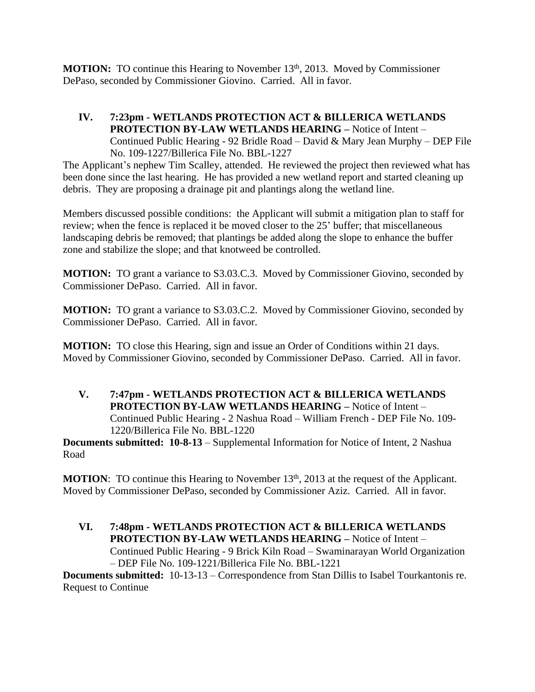**MOTION:** TO continue this Hearing to November 13<sup>th</sup>, 2013. Moved by Commissioner DePaso, seconded by Commissioner Giovino. Carried. All in favor.

**IV. 7:23pm - WETLANDS PROTECTION ACT & BILLERICA WETLANDS PROTECTION BY-LAW WETLANDS HEARING –** Notice of Intent – Continued Public Hearing - 92 Bridle Road – David & Mary Jean Murphy – DEP File No. 109-1227/Billerica File No. BBL-1227

The Applicant's nephew Tim Scalley, attended. He reviewed the project then reviewed what has been done since the last hearing. He has provided a new wetland report and started cleaning up debris. They are proposing a drainage pit and plantings along the wetland line.

Members discussed possible conditions: the Applicant will submit a mitigation plan to staff for review; when the fence is replaced it be moved closer to the 25' buffer; that miscellaneous landscaping debris be removed; that plantings be added along the slope to enhance the buffer zone and stabilize the slope; and that knotweed be controlled.

**MOTION:** TO grant a variance to S3.03.C.3. Moved by Commissioner Giovino, seconded by Commissioner DePaso. Carried. All in favor.

**MOTION:** TO grant a variance to S3.03.C.2. Moved by Commissioner Giovino, seconded by Commissioner DePaso. Carried. All in favor.

**MOTION:** TO close this Hearing, sign and issue an Order of Conditions within 21 days. Moved by Commissioner Giovino, seconded by Commissioner DePaso. Carried. All in favor.

**V. 7:47pm - WETLANDS PROTECTION ACT & BILLERICA WETLANDS PROTECTION BY-LAW WETLANDS HEARING –** Notice of Intent – Continued Public Hearing - 2 Nashua Road – William French - DEP File No. 109- 1220/Billerica File No. BBL-1220

**Documents submitted: 10-8-13** – Supplemental Information for Notice of Intent, 2 Nashua Road

**MOTION:** TO continue this Hearing to November 13<sup>th</sup>, 2013 at the request of the Applicant. Moved by Commissioner DePaso, seconded by Commissioner Aziz. Carried. All in favor.

**VI. 7:48pm - WETLANDS PROTECTION ACT & BILLERICA WETLANDS PROTECTION BY-LAW WETLANDS HEARING –** Notice of Intent – Continued Public Hearing - 9 Brick Kiln Road – Swaminarayan World Organization – DEP File No. 109-1221/Billerica File No. BBL-1221

**Documents submitted:** 10-13-13 – Correspondence from Stan Dillis to Isabel Tourkantonis re. Request to Continue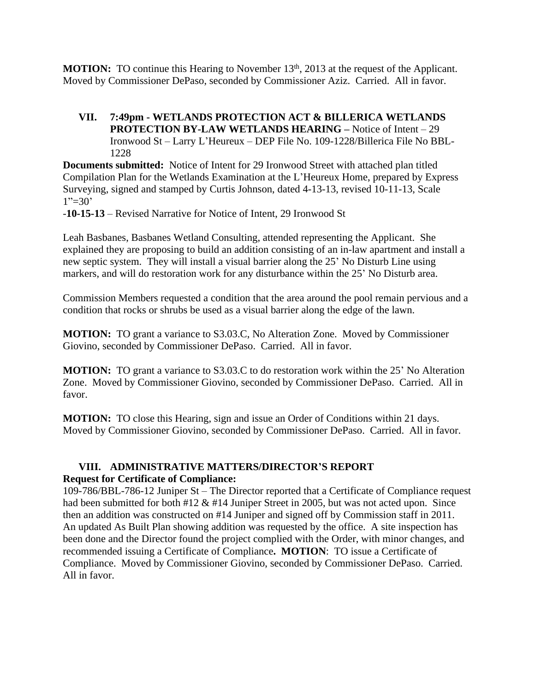**MOTION:** TO continue this Hearing to November 13<sup>th</sup>, 2013 at the request of the Applicant. Moved by Commissioner DePaso, seconded by Commissioner Aziz. Carried. All in favor.

## **VII. 7:49pm - WETLANDS PROTECTION ACT & BILLERICA WETLANDS PROTECTION BY-LAW WETLANDS HEARING –** Notice of Intent – 29 Ironwood St – Larry L'Heureux – DEP File No. 109-1228/Billerica File No BBL-1228

**Documents submitted:** Notice of Intent for 29 Ironwood Street with attached plan titled Compilation Plan for the Wetlands Examination at the L'Heureux Home, prepared by Express Surveying, signed and stamped by Curtis Johnson, dated 4-13-13, revised 10-11-13, Scale  $1"=\!\!30"$ 

-**10-15-13** – Revised Narrative for Notice of Intent, 29 Ironwood St

Leah Basbanes, Basbanes Wetland Consulting, attended representing the Applicant. She explained they are proposing to build an addition consisting of an in-law apartment and install a new septic system. They will install a visual barrier along the 25' No Disturb Line using markers, and will do restoration work for any disturbance within the 25' No Disturb area.

Commission Members requested a condition that the area around the pool remain pervious and a condition that rocks or shrubs be used as a visual barrier along the edge of the lawn.

**MOTION:** TO grant a variance to S3.03.C, No Alteration Zone. Moved by Commissioner Giovino, seconded by Commissioner DePaso. Carried. All in favor.

**MOTION:** TO grant a variance to S3.03.C to do restoration work within the 25' No Alteration Zone. Moved by Commissioner Giovino, seconded by Commissioner DePaso. Carried. All in favor.

**MOTION:** TO close this Hearing, sign and issue an Order of Conditions within 21 days. Moved by Commissioner Giovino, seconded by Commissioner DePaso. Carried. All in favor.

## **VIII. ADMINISTRATIVE MATTERS/DIRECTOR'S REPORT Request for Certificate of Compliance:**

109-786/BBL-786-12 Juniper St – The Director reported that a Certificate of Compliance request had been submitted for both #12 & #14 Juniper Street in 2005, but was not acted upon. Since then an addition was constructed on #14 Juniper and signed off by Commission staff in 2011. An updated As Built Plan showing addition was requested by the office. A site inspection has been done and the Director found the project complied with the Order, with minor changes, and recommended issuing a Certificate of Compliance**. MOTION**: TO issue a Certificate of Compliance. Moved by Commissioner Giovino, seconded by Commissioner DePaso. Carried. All in favor.